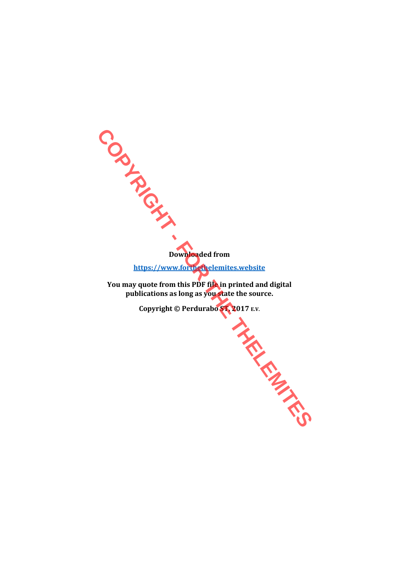**Downloaded from https://www.forthethelemites.website**

**You may quote from this PDF file in printed and digital publications as long as you state the source.** 

**Copyright © Perdurabo ST, 2017** *E.V.* **Copyright © Perdurabo ST, 2017** *E.V.* **(Copyright © Perdurabo ST, 2017** *E.V.*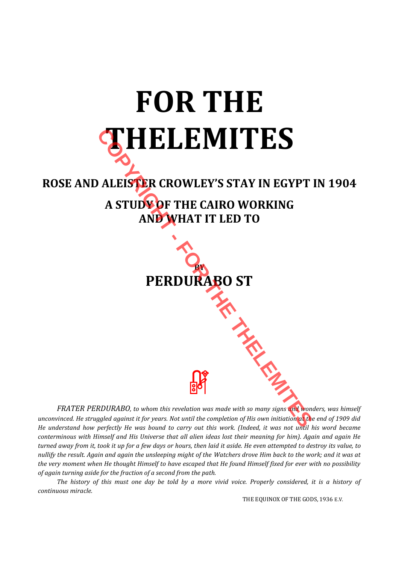## **FOR THE THELEMITES**

## **ROSE AND ALEISTER CROWLEY'S STAY IN EGYPT IN 1904 A STUDY OF THE CAIRO WORKING AND WHAT IT LED TO**



*FRATER PERDURABO, to whom this revelation was made with so many signs and wonders, was himself unconvinced. He struggled against it for years. Not until the completion of His own initiation at the end of 1909 did He understand how perfectly He was bound to carry out this work. (Indeed, it was not until his word became conterminous with Himself and His Universe that all alien ideas lost their meaning for him). Again and again He turned away from it, took it up for a few days or hours, then laid it aside. He even attempted to destroy its value, to nullify the result. Again and again the unsleeping might of the Watchers drove Him back to the work; and it was at the very moment when He thought Himself to have escaped that He found Himself fixed for ever with no possibility of again turning aside for the fraction of a second from the path.* 

 *The history of this must one day be told by a more vivid voice. Properly considered, it is a history of continuous miracle.*

THE EQUINOX OF THE GODS, 1936 E.V.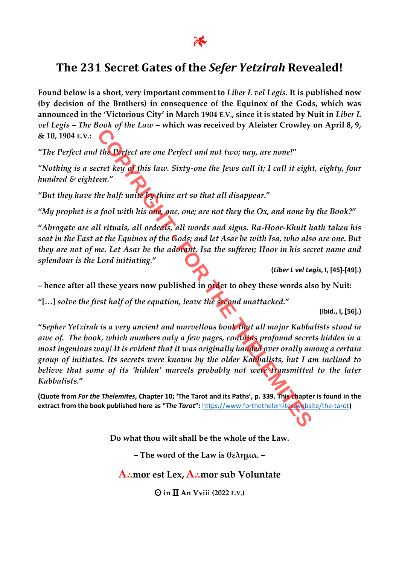## **The 231 Secret Gates of the** *Sefer Yetzirah* **Revealed!**

**Found below is a short, very important comment to** *Liber L vel Legis***. It is published now (by decision of the Brothers) in consequence of the Equinox of the Gods, which was announced in the 'Victorious City' in March 1904 E.V., since it is stated by Nuit in** *Liber L vel Legis* **–** *The Book of the Law* **– which was received by Aleister Crowley on April 8, 9, & 10, 1904 E.V.:** 

**"***The Perfect and the Perfect are one Perfect and not two; nay, are none!***"** 

**"***Nothing is a secret key of this law. Sixty-one the Jews call it; I call it eight, eighty, four hundred & eighteen.***"** 

**"***But they have the half: unite by thine art so that all disappear.***"** 

**"***My prophet is a fool with his one, one, one; are not they the Ox, and none by the Book?***"** 

**"***Abrogate are all rituals, all ordeals, all words and signs. Ra-Hoor-Khuit hath taken his seat in the East at the Equinox of the Gods; and let Asar be with Isa, who also are one. But they are not of me. Let Asar be the adorant, Isa the sufferer; Hoor in his secret name and splendour is the Lord initiating.***"** 

**(***Liber L vel Legis***, I, [45]-[49].)** 

**– hence after all these years now published in order to obey these words also by Nuit:** 

**"[…]** *solve the first half of the equation, leave the second unattacked.***"** 

**(Ibid., I, [56].)** 

**"***Sepher Yetzirah is a very ancient and marvellous book that all major Kabbalists stood in awe of. The book, which numbers only a few pages, contains profound secrets hidden in a most ingenious way! It is evident that it was originally handed over orally among a certain group of initiates. Its secrets were known by the older Kabbalists, but I am inclined to*  believe that some of its 'hidden' marvels probably not were transmitted to the later *Kabbalists.***" COPYTAGE AND ACCEDED**<br>
The Defect are one Perfect and not two; nay, are none!"<br>
cret key of this law. Sixty-one the Jews call it; I call it eight<br>
the half: unite by thine art so that all disappear."<br>
the half: unite by t

**(Quote from** *For the Thelemites***, Chapter 10; 'The Tarot and its Paths', p. 339. This chapter is found in the extract from the book published here as "***The Tarot***":** https://www.forthethelemites.website/the-tarot**)** 

**Do what thou wilt shall be the whole of the Law.** 

**– The word of the Law is θελημα. –** 

**A⸫mor est Lex, A⸫mor sub Voluntate** 

 $\Theta$  in  $\Pi$  An Vviii (2022 E.V.)